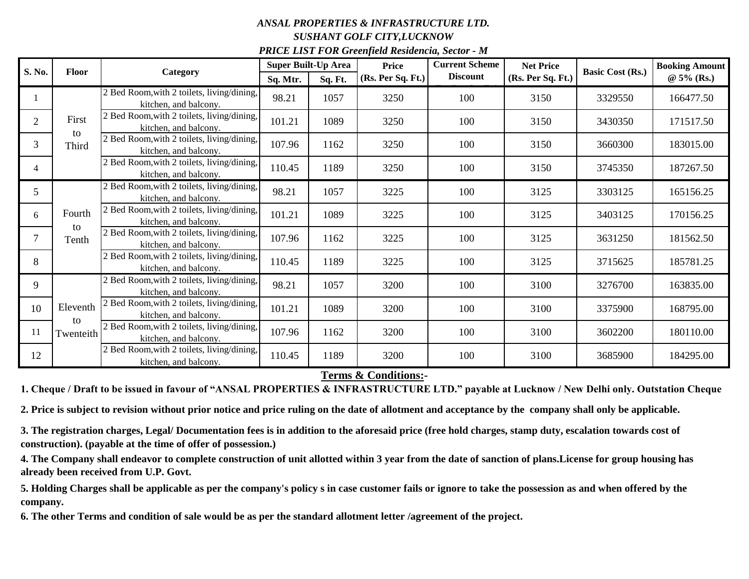## *ANSAL PROPERTIES & INFRASTRUCTURE LTD. SUSHANT GOLF CITY,LUCKNOW PRICE LIST FOR Greenfield Residencia, Sector - M*

| S. No.         | <b>Floor</b>                | Category                                                            | <b>Super Built-Up Area</b> |         | <b>Price</b>      | <b>Current Scheme</b> | <b>Net Price</b>  | <b>Basic Cost (Rs.)</b> | <b>Booking Amount</b> |
|----------------|-----------------------------|---------------------------------------------------------------------|----------------------------|---------|-------------------|-----------------------|-------------------|-------------------------|-----------------------|
|                |                             |                                                                     | Sq. Mtr.                   | Sq. Ft. | (Rs. Per Sq. Ft.) | <b>Discount</b>       | (Rs. Per Sq. Ft.) |                         | $@5\%$ (Rs.)          |
|                | First<br>to<br>Third        | 2 Bed Room, with 2 toilets, living/dining,<br>kitchen, and balcony. | 98.21                      | 1057    | 3250              | 100                   | 3150              | 3329550                 | 166477.50             |
| $\overline{2}$ |                             | 2 Bed Room, with 2 toilets, living/dining,<br>kitchen, and balcony. | 101.21                     | 1089    | 3250              | 100                   | 3150              | 3430350                 | 171517.50             |
| 3              |                             | 2 Bed Room, with 2 toilets, living/dining,<br>kitchen, and balcony. | 107.96                     | 1162    | 3250              | 100                   | 3150              | 3660300                 | 183015.00             |
| 4              |                             | 2 Bed Room, with 2 toilets, living/dining,<br>kitchen, and balcony. | 110.45                     | 1189    | 3250              | 100                   | 3150              | 3745350                 | 187267.50             |
| 5              | Fourth<br>to<br>Tenth       | 2 Bed Room, with 2 toilets, living/dining,<br>kitchen, and balcony. | 98.21                      | 1057    | 3225              | 100                   | 3125              | 3303125                 | 165156.25             |
| 6              |                             | 2 Bed Room, with 2 toilets, living/dining,<br>kitchen, and balcony. | 101.21                     | 1089    | 3225              | 100                   | 3125              | 3403125                 | 170156.25             |
|                |                             | 2 Bed Room, with 2 toilets, living/dining,<br>kitchen, and balcony. | 107.96                     | 1162    | 3225              | 100                   | 3125              | 3631250                 | 181562.50             |
| 8              |                             | 2 Bed Room, with 2 toilets, living/dining,<br>kitchen, and balcony. | 110.45                     | 1189    | 3225              | 100                   | 3125              | 3715625                 | 185781.25             |
| 9              | Eleventh<br>to<br>Twenteith | 2 Bed Room, with 2 toilets, living/dining,<br>kitchen, and balcony. | 98.21                      | 1057    | 3200              | 100                   | 3100              | 3276700                 | 163835.00             |
| 10             |                             | 2 Bed Room, with 2 toilets, living/dining,<br>kitchen, and balcony. | 101.21                     | 1089    | 3200              | 100                   | 3100              | 3375900                 | 168795.00             |
| 11             |                             | 2 Bed Room, with 2 toilets, living/dining,<br>kitchen, and balcony. | 107.96                     | 1162    | 3200              | 100                   | 3100              | 3602200                 | 180110.00             |
| 12             |                             | 2 Bed Room, with 2 toilets, living/dining,<br>kitchen, and balcony. | 110.45                     | 1189    | 3200              | 100                   | 3100              | 3685900                 | 184295.00             |

**Terms & Conditions:-**

**1. Cheque / Draft to be issued in favour of "ANSAL PROPERTIES & INFRASTRUCTURE LTD." payable at Lucknow / New Delhi only. Outstation Cheque** 

**2. Price is subject to revision without prior notice and price ruling on the date of allotment and acceptance by the company shall only be applicable.**

**3. The registration charges, Legal/ Documentation fees is in addition to the aforesaid price (free hold charges, stamp duty, escalation towards cost of construction). (payable at the time of offer of possession.)**

**4. The Company shall endeavor to complete construction of unit allotted within 3 year from the date of sanction of plans.License for group housing has already been received from U.P. Govt.**

**5. Holding Charges shall be applicable as per the company's policy s in case customer fails or ignore to take the possession as and when offered by the company.** 

**6. The other Terms and condition of sale would be as per the standard allotment letter /agreement of the project.**